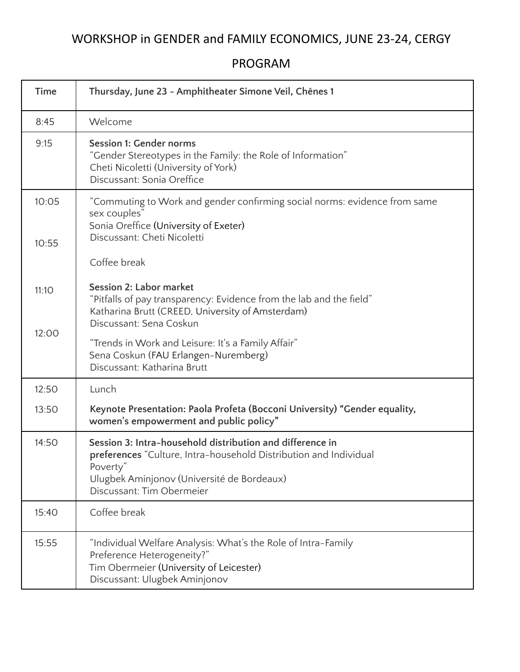## WORKSHOP in GENDER and FAMILY ECONOMICS, JUNE 23-24, CERGY

PROGRAM

| <b>Time</b>    | Thursday, June 23 - Amphitheater Simone Veil, Chênes 1                                                                                                                                                                |
|----------------|-----------------------------------------------------------------------------------------------------------------------------------------------------------------------------------------------------------------------|
| 8:45           | Welcome                                                                                                                                                                                                               |
| 9:15           | <b>Session 1: Gender norms</b><br>"Gender Stereotypes in the Family: the Role of Information"<br>Cheti Nicoletti (University of York)<br>Discussant: Sonia Oreffice                                                   |
| 10:05<br>10:55 | "Commuting to Work and gender confirming social norms: evidence from same<br>sex couples"<br>Sonia Oreffice (University of Exeter)<br>Discussant: Cheti Nicoletti<br>Coffee break                                     |
| 11:10          | Session 2: Labor market<br>"Pitfalls of pay transparency: Evidence from the lab and the field"<br>Katharina Brutt (CREED, University of Amsterdam)<br>Discussant: Sena Coskun                                         |
| 12:00          | "Trends in Work and Leisure: It's a Family Affair"<br>Sena Coskun (FAU Erlangen-Nuremberg)<br>Discussant: Katharina Brutt                                                                                             |
| 12:50          | Lunch                                                                                                                                                                                                                 |
| 13:50          | Keynote Presentation: Paola Profeta (Bocconi University) "Gender equality,<br>women's empowerment and public policy"                                                                                                  |
| 14:50          | Session 3: Intra-household distribution and difference in<br>preferences "Culture, Intra-household Distribution and Individual<br>Poverty"<br>Ulugbek Aminjonov (Université de Bordeaux)<br>Discussant: Tim Obermeier |
| 15:40          | Coffee break                                                                                                                                                                                                          |
| 15:55          | "Individual Welfare Analysis: What's the Role of Intra-Family<br>Preference Heterogeneity?"<br>Tim Obermeier (University of Leicester)<br>Discussant: Ulugbek Aminjonov                                               |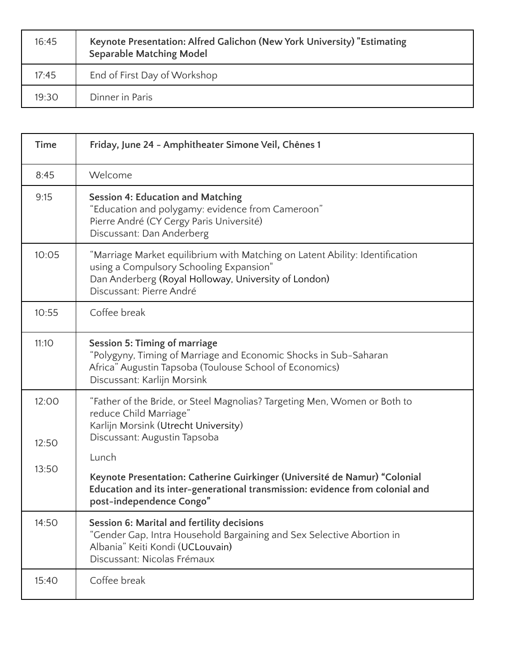| 16:45 | Keynote Presentation: Alfred Galichon (New York University) "Estimating<br><b>Separable Matching Model</b> |
|-------|------------------------------------------------------------------------------------------------------------|
| 17:45 | End of First Day of Workshop                                                                               |
| 19:30 | Dinner in Paris                                                                                            |

| <b>Time</b>             | Friday, June 24 - Amphitheater Simone Veil, Chênes 1                                                                                                                                                                                                                                                                                                |
|-------------------------|-----------------------------------------------------------------------------------------------------------------------------------------------------------------------------------------------------------------------------------------------------------------------------------------------------------------------------------------------------|
| 8:45                    | Welcome                                                                                                                                                                                                                                                                                                                                             |
| 9:15                    | <b>Session 4: Education and Matching</b><br>"Education and polygamy: evidence from Cameroon"<br>Pierre André (CY Cergy Paris Université)<br>Discussant: Dan Anderberg                                                                                                                                                                               |
| 10:05                   | "Marriage Market equilibrium with Matching on Latent Ability: Identification<br>using a Compulsory Schooling Expansion"<br>Dan Anderberg (Royal Holloway, University of London)<br>Discussant: Pierre André                                                                                                                                         |
| 10:55                   | Coffee break                                                                                                                                                                                                                                                                                                                                        |
| 11:10                   | <b>Session 5: Timing of marriage</b><br>"Polygyny, Timing of Marriage and Economic Shocks in Sub-Saharan<br>Africa" Augustin Tapsoba (Toulouse School of Economics)<br>Discussant: Karlijn Morsink                                                                                                                                                  |
| 12:00<br>12:50<br>13:50 | "Father of the Bride, or Steel Magnolias? Targeting Men, Women or Both to<br>reduce Child Marriage"<br>Karlijn Morsink (Utrecht University)<br>Discussant: Augustin Tapsoba<br>Lunch<br>Keynote Presentation: Catherine Guirkinger (Université de Namur) "Colonial<br>Education and its inter-generational transmission: evidence from colonial and |
|                         | post-independence Congo"<br>Session 6: Marital and fertility decisions                                                                                                                                                                                                                                                                              |
| 14:50                   | "Gender Gap, Intra Household Bargaining and Sex Selective Abortion in<br>Albania" Keiti Kondi (UCLouvain)<br>Discussant: Nicolas Frémaux                                                                                                                                                                                                            |
| 15:40                   | Coffee break                                                                                                                                                                                                                                                                                                                                        |